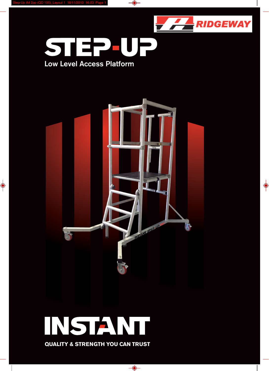\$



 $\Rightarrow$ 



## INETANT STEZUP

 $\overline{\bigcirc}$